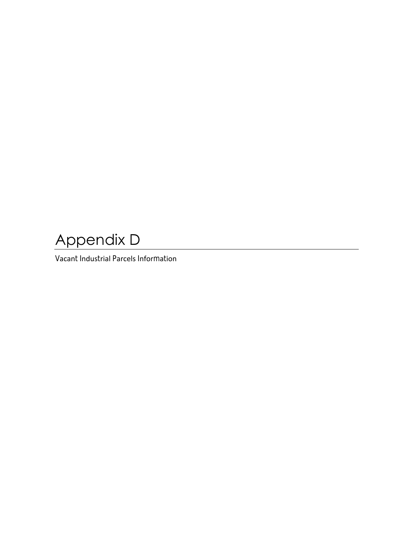## Appendix D

Vacant Industrial Parcels Information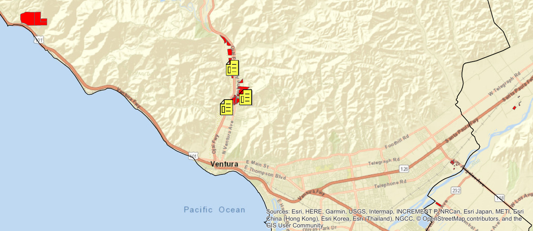